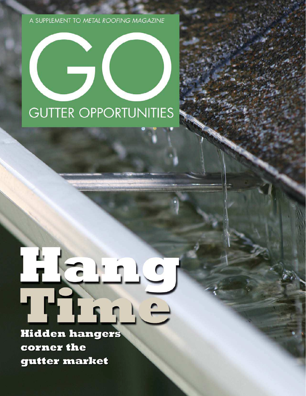A SUPPLEMENT TO METAL ROOFING MAGAZINE

## $\overline{\phantom{a}}$ **GUTTER OPPORTUNITIES**

# $\overline{\mathbf{C}}$

**Hidden hangers** corner the gutter market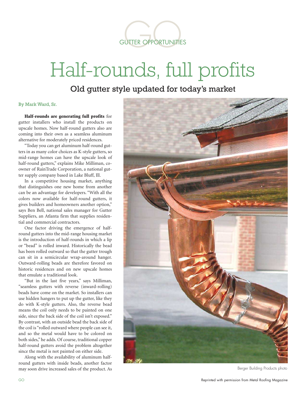

### Half-rounds, full profits

Old gutter style updated for today's market

#### By Mark Ward, Sr.

Half-rounds are generating full profits for gutter installers who install the products on upscale homes. Now half-round gutters also are coming into their own as a seamless aluminum alternative for moderately priced residences.

"Today you can get aluminum half-round gutters in as many color choices as K-style gutters, so mid-range homes can have the upscale look of half-round gutters," explains Mike Milliman, coowner of RainTrade Corporation, a national gutter supply company based in Lake Bluff, Ill.

In a competitive housing market, anything that distinguishes one new home from another can be an advantage for developers. "With all the colors now available for half-round gutters, it gives builders and homeowners another option," says Ben Bell, national sales manager for Gutter Suppliers, an Atlanta firm that supplies residential and commercial contractors.

One factor driving the emergence of halfround gutters into the mid-range housing market is the introduction of half-rounds in which a lip or "bead" is rolled inward. Historically the bead has been rolled outward so that the gutter trough can sit in a semicircular wrap-around hanger. Outward-rolling beads are therefore favored on historic residences and on new upscale homes that emulate a traditional look.

"But in the last five years," says Milliman, "seamless gutters with reverse (inward-rolling) beads have come on the market. So installers can use hidden hangers to put up the gutter, like they do with K-style gutters. Also, the reverse bead means the coil only needs to be painted on one side, since the back side of the coil isn't exposed." By contrast, with an outside bead the back side of the coil is "rolled outward where people can see it, and so the metal would have to be colored on both sides," he adds. Of course, traditional copper half-round gutters avoid the problem altogether since the metal is not painted on either side.

Along with the availability of aluminum halfround gutters with inside beads, another factor may soon drive increased sales of the product. As



Berger Building Products photo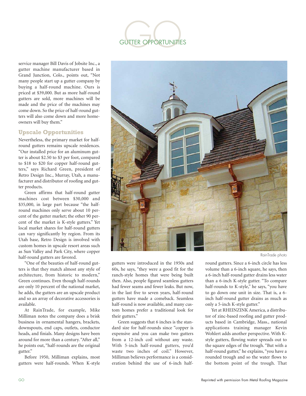

service manager Bill Davis of Jobsite Inc., a gutter machine manufacturer based in Grand Junction, Colo., points out, "Not many people start up a gutter company by buying a half-round machine. Ours is priced at \$39,000. But as more half-round gutters are sold, more machines will be made and the price of the machines may come down. So the price of half-round gutters will also come down and more homeowners will buy them."

#### **Upscale Opportunities**

Nevertheless, the primary market for halfround gutters remains upscale residences. "Our installed price for an aluminum gutter is about \$2.50 to \$3 per foot, compared to \$18 to \$20 for copper half-round gutters," says Richard Green, president of Retro Design Inc., Murray, Utah, a manufacturer and distributor of roofing and gutter products.

Green affirms that half-round gutter machines cost between \$30,000 and \$35,000, in large part because "the halfround machines only serve about 10 percent of the gutter market; the other 90 percent of the market is K-style gutters." Yet local market shares for half-round gutters can vary significantly by region. From its Utah base, Retro Design is involved with custom homes in upscale resort areas such as Sun Valley and Park City, where copper half-round gutters are favored.

"One of the beauties of half-round gutters is that they match almost any style of architecture, from historic to modern," Green continues. Even though half-rounds are only 10 percent of the national market, he adds, the gutters are an upscale product and so an array of decorative accessories is available.

At RainTrade, for example, Mike Milliman notes the company does a brisk business in ornamental hangers, brackets, downspouts, end caps, outlets, conductor heads, and finials. Many designs have been around for more than a century. "After all," he points out, "half-rounds are the original gutter."

Before 1950, Milliman explains, most gutters were half-rounds. When K-style



gutters were introduced in the 1950s and 60s, he says, "they were a good fit for the ranch-style homes that were being built then. Also, people figured seamless gutters had fewer seams and fewer leaks. But now, in the last five to seven years, half-round gutters have made a comeback. Seamless half-round is now available, and many custom homes prefer a traditional look for their gutters."

Green suggests that 6 inches is the standard size for half-rounds since "copper is expensive and you can make two gutters from a 12-inch coil without any waste. With 5-inch half-round gutters, you'd waste two inches of coil." However, Milliman believes performance is a consideration behind the use of 6-inch half-

RainTrade photo

round gutters. Since a 6-inch circle has less volume than a 6-inch square, he says, then a 6-inch half-round gutter drains less water than a 6-inch K-style gutter. "To compare half-rounds to K-style," he says, "you have to go down one unit in size. That is, a 6 inch half-round gutter drains as much as only a 5-inch K-style gutter."

Yet at RHEINZINK America, a distributor of zinc-based roofing and gutter products based in Cambridge, Mass., national applications training manager Kevin Wohlert adds another perspective. With Kstyle gutters, flowing water spreads out to the square edges of the trough. "But with a half-round gutter," he explains, "you have a rounded trough and so the water flows to the bottom point of the trough. That